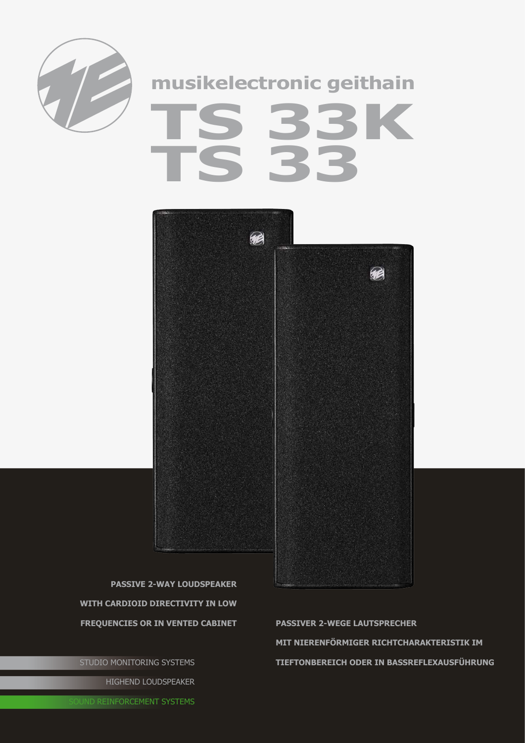

## musikelectronic geithain 33K<br>32



**PASSIVE 2-WAY LOUDSPEAKER** WITH CARDIOID DIRECTIVITY IN LOW **FREQUENCIES OR IN VENTED CABINET** 

STUDIO MONITORING SYSTEMS HIGHEND LOUDSPEAKER

**PASSIVER 2-WEGE LAUTSPRECHER** MIT NIERENFÖRMIGER RICHTCHARAKTERISTIK IM TIEFTONBEREICH ODER IN BASSREFLEXAUSFÜHRUNG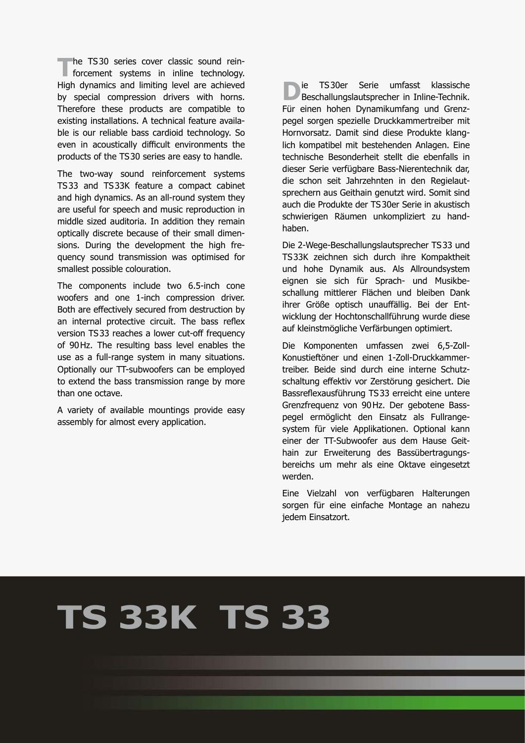**The TS30 series cover classic sound rein-**<br>
forcement systems in inline technology. High dynamics and limiting level are achieved by special compression drivers with horns. Therefore these products are compatible to existing installations. A technical feature available is our reliable bass cardioid technology. So even in acoustically difficult environments the products of the TS30 series are easy to handle.

The two-way sound reinforcement systems TS33 and TS33K feature a compact cabinet and high dynamics. As an all-round system they are useful for speech and music reproduction in middle sized auditoria. In addition they remain optically discrete because of their small dimensions. During the development the high frequency sound transmission was optimised for smallest possible colouration.

The components include two 6.5-inch cone woofers and one 1-inch compression driver. Both are effectively secured from destruction by an internal protective circuit. The bass reflex version TS33 reaches a lower cut-off frequency of 90Hz. The resulting bass level enables the use as a full-range system in many situations. Optionally our TT-subwoofers can be employed to extend the bass transmission range by more than one octave.

A variety of available mountings provide easy assembly for almost every application.

**D**ie TS30er Serie umfasst klassische<br>Beschallungslautsprecher in Inline-Technik. Für einen hohen Dynamikumfang und Grenzpegel sorgen spezielle Druckkammertreiber mit Hornvorsatz. Damit sind diese Produkte klanglich kompatibel mit bestehenden Anlagen. Eine technische Besonderheit stellt die ebenfalls in dieser Serie verfügbare Bass-Nierentechnik dar, die schon seit Jahrzehnten in den Regielautsprechern aus Geithain genutzt wird. Somit sind auch die Produkte der TS30er Serie in akustisch schwierigen Räumen unkompliziert zu handhaben.

Die 2-Wege-Beschallungslautsprecher TS33 und TS33K zeichnen sich durch ihre Kompaktheit und hohe Dynamik aus. Als Allroundsystem eignen sie sich für Sprach- und Musikbeschallung mittlerer Flächen und bleiben Dank ihrer Größe optisch unauffällig. Bei der Entwicklung der Hochtonschallführung wurde diese auf kleinstmögliche Verfärbungen optimiert.

Die Komponenten umfassen zwei 6,5-Zoll-Konustieftöner und einen 1-Zoll-Druckkammertreiber. Beide sind durch eine interne Schutzschaltung effektiv vor Zerstörung gesichert. Die Bassreflexausführung TS33 erreicht eine untere Grenzfrequenz von 90Hz. Der gebotene Basspegel ermöglicht den Einsatz als Fullrangesystem für viele Applikationen. Optional kann einer der TT-Subwoofer aus dem Hause Geithain zur Erweiterung des Bassübertragungsbereichs um mehr als eine Oktave eingesetzt werden.

Eine Vielzahl von verfügbaren Halterungen sorgen für eine einfache Montage an nahezu jedem Einsatzort.

## **TS 33K TS 33**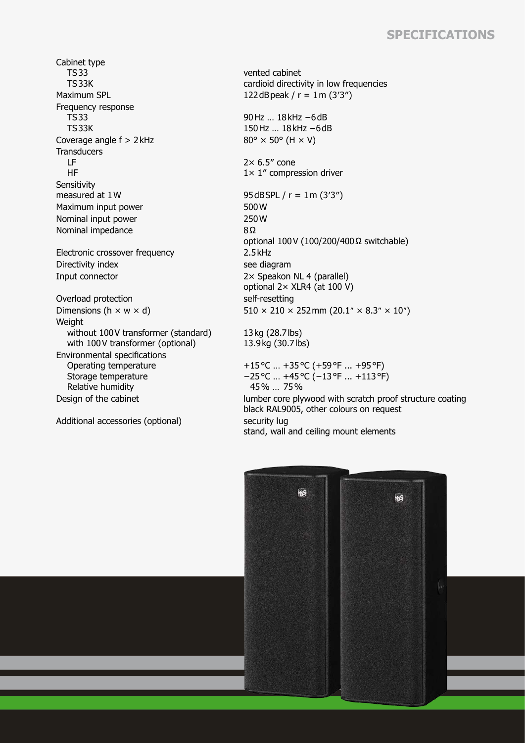## **Specifications**

Cabinet type TS33 TS33K Maximum SPL  $122 dB$ peak /  $r = 1$ m (3'3") Frequency response TS33 TS33K Coverage angle  $f > 2$  kHz 80°  $\times$  50° (H  $\times$  V) **Transducers**  LF HF Sensitivity<br>measured at 1W Maximum input power 500 W Nominal input power 250W Nominal impedance 8Ω Electronic crossover frequency 2.5kHz Directivity index see diagram Input connector 2× Speakon NL 4 (parallel) Overload protection self-resetting Weight without 100V transformer (standard) with 100V transformer (optional) Environmental specifications Operating temperature Storage temperature Relative humidity

Additional accessories (optional) security lug

vented cabinet cardioid directivity in low frequencies

90Hz ... 18kHz -6dB 150Hz … 18kHz −6dB

 $2 \times 6.5$ " cone 1× 1″ compression driver

95dBSPL /  $r = 1$ m (3'3") optional 100V (100/200/400Ω switchable) optional 2× XLR4 (at 100 V) Dimensions (h  $\times$  w  $\times$  d) 510  $\times$  210  $\times$  252 mm (20.1"  $\times$  8.3"  $\times$  10")

> 13kg (28.7lbs) 13.9kg (30.7lbs)

+15°C … +35°C (+59°F ... +95°F) −25°C … +45°C (−13°F ... +113°F) 45% … 75% Design of the cabinet lumber core plywood with scratch proof structure coating black RAL9005, other colours on request stand, wall and ceiling mount elements

> 帕 丽